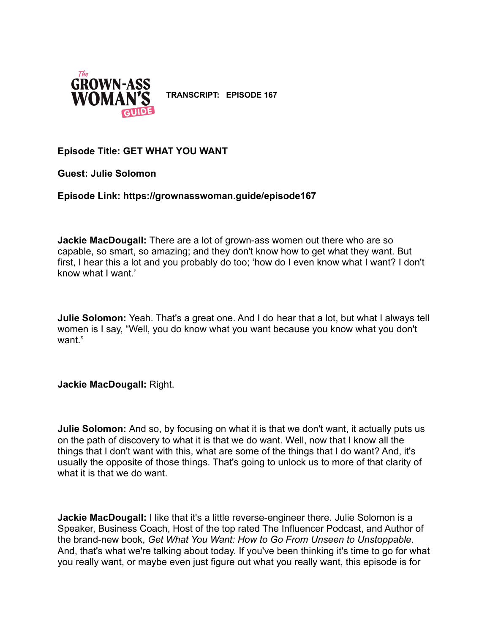

**TRANSCRIPT: EPISODE 167**

# **Episode Title: GET WHAT YOU WANT**

**Guest: Julie Solomon**

**Episode Link: https://grownasswoman.guide/episode167**

**Jackie MacDougall:** There are a lot of grown-ass women out there who are so capable, so smart, so amazing; and they don't know how to get what they want. But first, I hear this a lot and you probably do too; 'how do I even know what I want? I don't know what I want.'

**Julie Solomon:** Yeah. That's a great one. And I do hear that a lot, but what I always tell women is I say, "Well, you do know what you want because you know what you don't want."

**Jackie MacDougall:** Right.

**Julie Solomon:** And so, by focusing on what it is that we don't want, it actually puts us on the path of discovery to what it is that we do want. Well, now that I know all the things that I don't want with this, what are some of the things that I do want? And, it's usually the opposite of those things. That's going to unlock us to more of that clarity of what it is that we do want.

**Jackie MacDougall:** I like that it's a little reverse-engineer there. Julie Solomon is a Speaker, Business Coach, Host of the top rated The Influencer Podcast, and Author of the brand-new book, *Get What You Want: How to Go From Unseen to Unstoppable*. And, that's what we're talking about today. If you've been thinking it's time to go for what you really want, or maybe even just figure out what you really want, this episode is for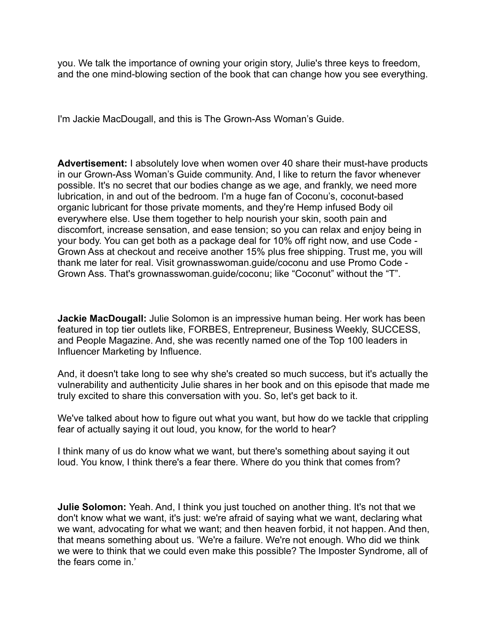you. We talk the importance of owning your origin story, Julie's three keys to freedom, and the one mind-blowing section of the book that can change how you see everything.

I'm Jackie MacDougall, and this is The Grown-Ass Woman's Guide.

**Advertisement:** I absolutely love when women over 40 share their must-have products in our Grown-Ass Woman's Guide community. And, I like to return the favor whenever possible. It's no secret that our bodies change as we age, and frankly, we need more lubrication, in and out of the bedroom. I'm a huge fan of Coconu's, coconut-based organic lubricant for those private moments, and they're Hemp infused Body oil everywhere else. Use them together to help nourish your skin, sooth pain and discomfort, increase sensation, and ease tension; so you can relax and enjoy being in your body. You can get both as a package deal for 10% off right now, and use Code - Grown Ass at checkout and receive another 15% plus free shipping. Trust me, you will thank me later for real. Visit grownasswoman.guide/coconu and use Promo Code - Grown Ass. That's grownasswoman.guide/coconu; like "Coconut" without the "T".

**Jackie MacDougall:** Julie Solomon is an impressive human being. Her work has been featured in top tier outlets like, FORBES, Entrepreneur, Business Weekly, SUCCESS, and People Magazine. And, she was recently named one of the Top 100 leaders in Influencer Marketing by Influence.

And, it doesn't take long to see why she's created so much success, but it's actually the vulnerability and authenticity Julie shares in her book and on this episode that made me truly excited to share this conversation with you. So, let's get back to it.

We've talked about how to figure out what you want, but how do we tackle that crippling fear of actually saying it out loud, you know, for the world to hear?

I think many of us do know what we want, but there's something about saying it out loud. You know, I think there's a fear there. Where do you think that comes from?

**Julie Solomon:** Yeah. And, I think you just touched on another thing. It's not that we don't know what we want, it's just: we're afraid of saying what we want, declaring what we want, advocating for what we want; and then heaven forbid, it not happen. And then, that means something about us. 'We're a failure. We're not enough. Who did we think we were to think that we could even make this possible? The Imposter Syndrome, all of the fears come in.'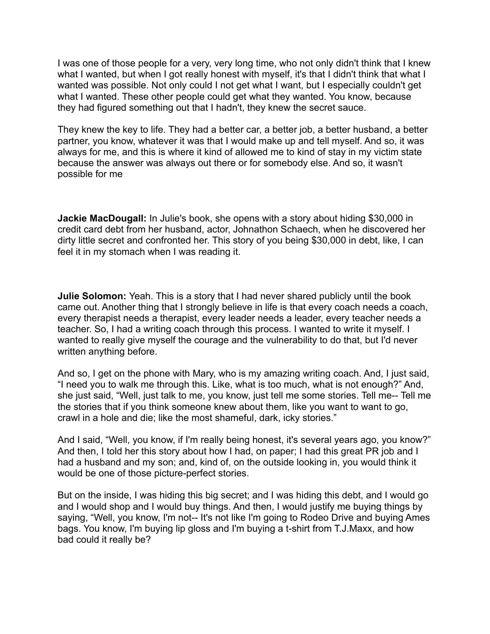I was one of those people for a very, very long time, who not only didn't think that I knew what I wanted, but when I got really honest with myself, it's that I didn't think that what I wanted was possible. Not only could I not get what I want, but I especially couldn't get what I wanted. These other people could get what they wanted. You know, because they had figured something out that I hadn't, they knew the secret sauce.

They knew the key to life. They had a better car, a better job, a better husband, a better partner, you know, whatever it was that I would make up and tell myself. And so, it was always for me, and this is where it kind of allowed me to kind of stay in my victim state because the answer was always out there or for somebody else. And so, it wasn't possible for me

**Jackie MacDougall:** In Julie's book, she opens with a story about hiding \$30,000 in credit card debt from her husband, actor, Johnathon Schaech, when he discovered her dirty little secret and confronted her. This story of you being \$30,000 in debt, like, I can feel it in my stomach when I was reading it.

**Julie Solomon:** Yeah. This is a story that I had never shared publicly until the book came out. Another thing that I strongly believe in life is that every coach needs a coach, every therapist needs a therapist, every leader needs a leader, every teacher needs a teacher. So, I had a writing coach through this process. I wanted to write it myself. I wanted to really give myself the courage and the vulnerability to do that, but I'd never written anything before.

And so, I get on the phone with Mary, who is my amazing writing coach. And, I just said, "I need you to walk me through this. Like, what is too much, what is not enough?" And, she just said, "Well, just talk to me, you know, just tell me some stories. Tell me-- Tell me the stories that if you think someone knew about them, like you want to want to go, crawl in a hole and die; like the most shameful, dark, icky stories."

And I said, "Well, you know, if I'm really being honest, it's several years ago, you know?" And then, I told her this story about how I had, on paper; I had this great PR job and I had a husband and my son; and, kind of, on the outside looking in, you would think it would be one of those picture-perfect stories.

But on the inside, I was hiding this big secret; and I was hiding this debt, and I would go and I would shop and I would buy things. And then, I would justify me buying things by saying, "Well, you know, I'm not-- It's not like I'm going to Rodeo Drive and buying Ames bags. You know, I'm buying lip gloss and I'm buying a t-shirt from T.J.Maxx, and how bad could it really be?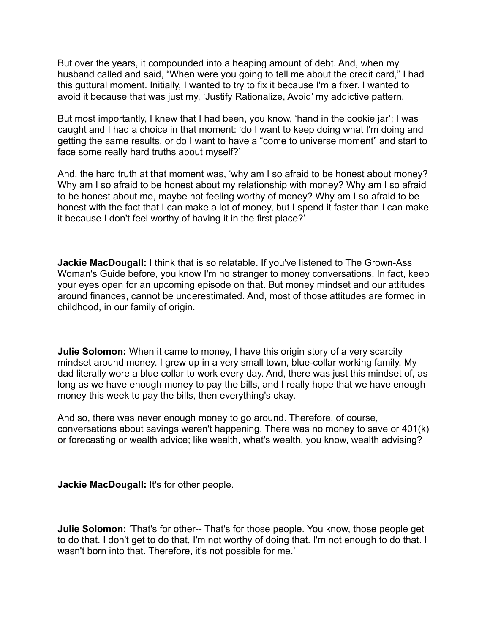But over the years, it compounded into a heaping amount of debt. And, when my husband called and said, "When were you going to tell me about the credit card," I had this guttural moment. Initially, I wanted to try to fix it because I'm a fixer. I wanted to avoid it because that was just my, 'Justify Rationalize, Avoid' my addictive pattern.

But most importantly, I knew that I had been, you know, 'hand in the cookie jar'; I was caught and I had a choice in that moment: 'do I want to keep doing what I'm doing and getting the same results, or do I want to have a "come to universe moment" and start to face some really hard truths about myself?'

And, the hard truth at that moment was, 'why am I so afraid to be honest about money? Why am I so afraid to be honest about my relationship with money? Why am I so afraid to be honest about me, maybe not feeling worthy of money? Why am I so afraid to be honest with the fact that I can make a lot of money, but I spend it faster than I can make it because I don't feel worthy of having it in the first place?'

**Jackie MacDougall:** I think that is so relatable. If you've listened to The Grown-Ass Woman's Guide before, you know I'm no stranger to money conversations. In fact, keep your eyes open for an upcoming episode on that. But money mindset and our attitudes around finances, cannot be underestimated. And, most of those attitudes are formed in childhood, in our family of origin.

**Julie Solomon:** When it came to money, I have this origin story of a very scarcity mindset around money. I grew up in a very small town, blue-collar working family. My dad literally wore a blue collar to work every day. And, there was just this mindset of, as long as we have enough money to pay the bills, and I really hope that we have enough money this week to pay the bills, then everything's okay.

And so, there was never enough money to go around. Therefore, of course, conversations about savings weren't happening. There was no money to save or 401(k) or forecasting or wealth advice; like wealth, what's wealth, you know, wealth advising?

**Jackie MacDougall:** It's for other people.

**Julie Solomon:** 'That's for other-- That's for those people. You know, those people get to do that. I don't get to do that, I'm not worthy of doing that. I'm not enough to do that. I wasn't born into that. Therefore, it's not possible for me.'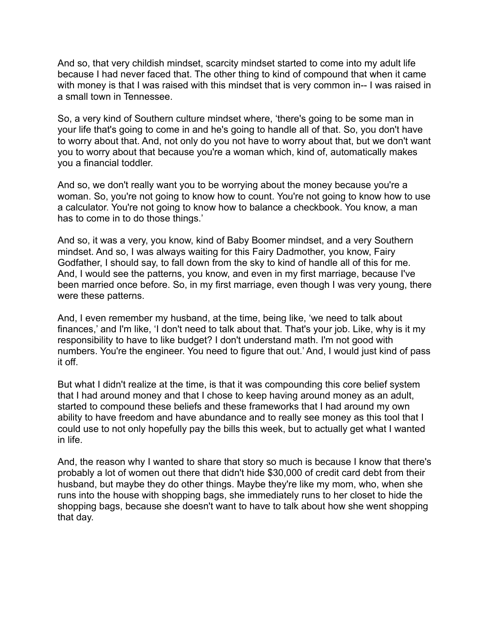And so, that very childish mindset, scarcity mindset started to come into my adult life because I had never faced that. The other thing to kind of compound that when it came with money is that I was raised with this mindset that is very common in-- I was raised in a small town in Tennessee.

So, a very kind of Southern culture mindset where, 'there's going to be some man in your life that's going to come in and he's going to handle all of that. So, you don't have to worry about that. And, not only do you not have to worry about that, but we don't want you to worry about that because you're a woman which, kind of, automatically makes you a financial toddler.

And so, we don't really want you to be worrying about the money because you're a woman. So, you're not going to know how to count. You're not going to know how to use a calculator. You're not going to know how to balance a checkbook. You know, a man has to come in to do those things.'

And so, it was a very, you know, kind of Baby Boomer mindset, and a very Southern mindset. And so, I was always waiting for this Fairy Dadmother, you know, Fairy Godfather, I should say, to fall down from the sky to kind of handle all of this for me. And, I would see the patterns, you know, and even in my first marriage, because I've been married once before. So, in my first marriage, even though I was very young, there were these patterns.

And, I even remember my husband, at the time, being like, 'we need to talk about finances,' and I'm like, 'I don't need to talk about that. That's your job. Like, why is it my responsibility to have to like budget? I don't understand math. I'm not good with numbers. You're the engineer. You need to figure that out.' And, I would just kind of pass it off.

But what I didn't realize at the time, is that it was compounding this core belief system that I had around money and that I chose to keep having around money as an adult, started to compound these beliefs and these frameworks that I had around my own ability to have freedom and have abundance and to really see money as this tool that I could use to not only hopefully pay the bills this week, but to actually get what I wanted in life.

And, the reason why I wanted to share that story so much is because I know that there's probably a lot of women out there that didn't hide \$30,000 of credit card debt from their husband, but maybe they do other things. Maybe they're like my mom, who, when she runs into the house with shopping bags, she immediately runs to her closet to hide the shopping bags, because she doesn't want to have to talk about how she went shopping that day.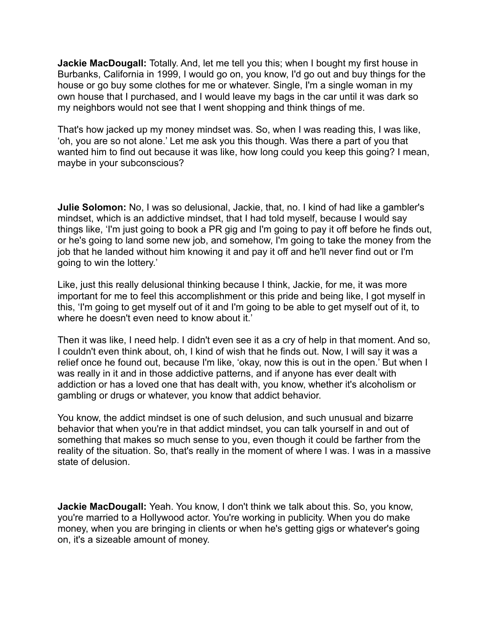**Jackie MacDougall:** Totally. And, let me tell you this; when I bought my first house in Burbanks, California in 1999, I would go on, you know, I'd go out and buy things for the house or go buy some clothes for me or whatever. Single, I'm a single woman in my own house that I purchased, and I would leave my bags in the car until it was dark so my neighbors would not see that I went shopping and think things of me.

That's how jacked up my money mindset was. So, when I was reading this, I was like, 'oh, you are so not alone.' Let me ask you this though. Was there a part of you that wanted him to find out because it was like, how long could you keep this going? I mean, maybe in your subconscious?

**Julie Solomon:** No, I was so delusional, Jackie, that, no. I kind of had like a gambler's mindset, which is an addictive mindset, that I had told myself, because I would say things like, 'I'm just going to book a PR gig and I'm going to pay it off before he finds out, or he's going to land some new job, and somehow, I'm going to take the money from the job that he landed without him knowing it and pay it off and he'll never find out or I'm going to win the lottery.'

Like, just this really delusional thinking because I think, Jackie, for me, it was more important for me to feel this accomplishment or this pride and being like, I got myself in this, 'I'm going to get myself out of it and I'm going to be able to get myself out of it, to where he doesn't even need to know about it.'

Then it was like, I need help. I didn't even see it as a cry of help in that moment. And so, I couldn't even think about, oh, I kind of wish that he finds out. Now, I will say it was a relief once he found out, because I'm like, 'okay, now this is out in the open.' But when I was really in it and in those addictive patterns, and if anyone has ever dealt with addiction or has a loved one that has dealt with, you know, whether it's alcoholism or gambling or drugs or whatever, you know that addict behavior.

You know, the addict mindset is one of such delusion, and such unusual and bizarre behavior that when you're in that addict mindset, you can talk yourself in and out of something that makes so much sense to you, even though it could be farther from the reality of the situation. So, that's really in the moment of where I was. I was in a massive state of delusion.

**Jackie MacDougall:** Yeah. You know, I don't think we talk about this. So, you know, you're married to a Hollywood actor. You're working in publicity. When you do make money, when you are bringing in clients or when he's getting gigs or whatever's going on, it's a sizeable amount of money.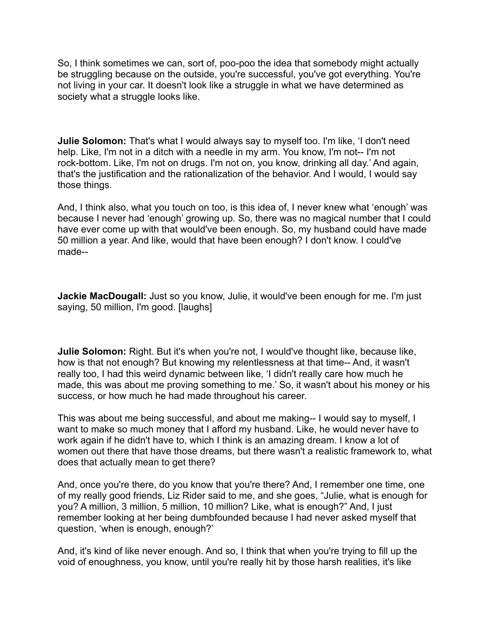So, I think sometimes we can, sort of, poo-poo the idea that somebody might actually be struggling because on the outside, you're successful, you've got everything. You're not living in your car. It doesn't look like a struggle in what we have determined as society what a struggle looks like.

**Julie Solomon:** That's what I would always say to myself too. I'm like, 'I don't need help. Like, I'm not in a ditch with a needle in my arm. You know, I'm not-- I'm not rock-bottom. Like, I'm not on drugs. I'm not on, you know, drinking all day.' And again, that's the justification and the rationalization of the behavior. And I would, I would say those things.

And, I think also, what you touch on too, is this idea of, I never knew what 'enough' was because I never had 'enough' growing up. So, there was no magical number that I could have ever come up with that would've been enough. So, my husband could have made 50 million a year. And like, would that have been enough? I don't know. I could've made--

**Jackie MacDougall:** Just so you know, Julie, it would've been enough for me. I'm just saying, 50 million, I'm good. [laughs]

**Julie Solomon:** Right. But it's when you're not, I would've thought like, because like, how is that not enough? But knowing my relentlessness at that time-- And, it wasn't really too, I had this weird dynamic between like, 'I didn't really care how much he made, this was about me proving something to me.' So, it wasn't about his money or his success, or how much he had made throughout his career.

This was about me being successful, and about me making-- I would say to myself, I want to make so much money that I afford my husband. Like, he would never have to work again if he didn't have to, which I think is an amazing dream. I know a lot of women out there that have those dreams, but there wasn't a realistic framework to, what does that actually mean to get there?

And, once you're there, do you know that you're there? And, I remember one time, one of my really good friends, Liz Rider said to me, and she goes, "Julie, what is enough for you? A million, 3 million, 5 million, 10 million? Like, what is enough?" And, I just remember looking at her being dumbfounded because I had never asked myself that question, 'when is enough, enough?'

And, it's kind of like never enough. And so, I think that when you're trying to fill up the void of enoughness, you know, until you're really hit by those harsh realities, it's like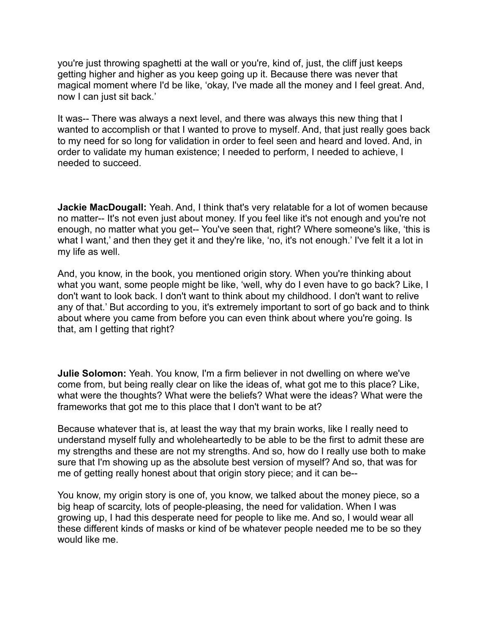you're just throwing spaghetti at the wall or you're, kind of, just, the cliff just keeps getting higher and higher as you keep going up it. Because there was never that magical moment where I'd be like, 'okay, I've made all the money and I feel great. And, now I can just sit back.'

It was-- There was always a next level, and there was always this new thing that I wanted to accomplish or that I wanted to prove to myself. And, that just really goes back to my need for so long for validation in order to feel seen and heard and loved. And, in order to validate my human existence; I needed to perform, I needed to achieve, I needed to succeed.

**Jackie MacDougall:** Yeah. And, I think that's very relatable for a lot of women because no matter-- It's not even just about money. If you feel like it's not enough and you're not enough, no matter what you get-- You've seen that, right? Where someone's like, 'this is what I want,' and then they get it and they're like, 'no, it's not enough.' I've felt it a lot in my life as well.

And, you know, in the book, you mentioned origin story. When you're thinking about what you want, some people might be like, 'well, why do I even have to go back? Like, I don't want to look back. I don't want to think about my childhood. I don't want to relive any of that.' But according to you, it's extremely important to sort of go back and to think about where you came from before you can even think about where you're going. Is that, am I getting that right?

**Julie Solomon:** Yeah. You know, I'm a firm believer in not dwelling on where we've come from, but being really clear on like the ideas of, what got me to this place? Like, what were the thoughts? What were the beliefs? What were the ideas? What were the frameworks that got me to this place that I don't want to be at?

Because whatever that is, at least the way that my brain works, like I really need to understand myself fully and wholeheartedly to be able to be the first to admit these are my strengths and these are not my strengths. And so, how do I really use both to make sure that I'm showing up as the absolute best version of myself? And so, that was for me of getting really honest about that origin story piece; and it can be--

You know, my origin story is one of, you know, we talked about the money piece, so a big heap of scarcity, lots of people-pleasing, the need for validation. When I was growing up, I had this desperate need for people to like me. And so, I would wear all these different kinds of masks or kind of be whatever people needed me to be so they would like me.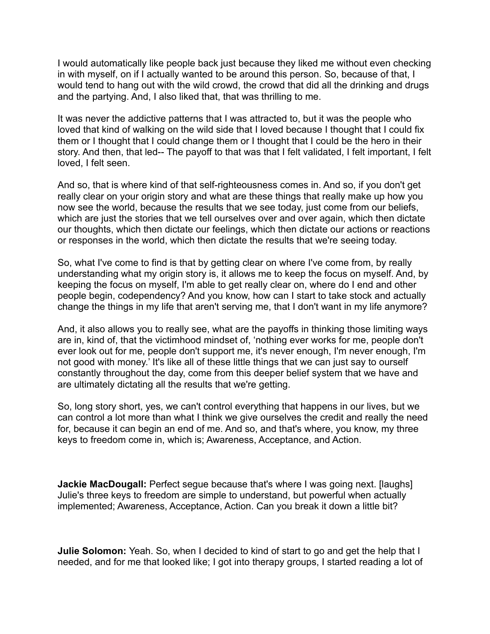I would automatically like people back just because they liked me without even checking in with myself, on if I actually wanted to be around this person. So, because of that, I would tend to hang out with the wild crowd, the crowd that did all the drinking and drugs and the partying. And, I also liked that, that was thrilling to me.

It was never the addictive patterns that I was attracted to, but it was the people who loved that kind of walking on the wild side that I loved because I thought that I could fix them or I thought that I could change them or I thought that I could be the hero in their story. And then, that led-- The payoff to that was that I felt validated, I felt important, I felt loved, I felt seen.

And so, that is where kind of that self-righteousness comes in. And so, if you don't get really clear on your origin story and what are these things that really make up how you now see the world, because the results that we see today, just come from our beliefs, which are just the stories that we tell ourselves over and over again, which then dictate our thoughts, which then dictate our feelings, which then dictate our actions or reactions or responses in the world, which then dictate the results that we're seeing today.

So, what I've come to find is that by getting clear on where I've come from, by really understanding what my origin story is, it allows me to keep the focus on myself. And, by keeping the focus on myself, I'm able to get really clear on, where do I end and other people begin, codependency? And you know, how can I start to take stock and actually change the things in my life that aren't serving me, that I don't want in my life anymore?

And, it also allows you to really see, what are the payoffs in thinking those limiting ways are in, kind of, that the victimhood mindset of, 'nothing ever works for me, people don't ever look out for me, people don't support me, it's never enough, I'm never enough, I'm not good with money.' It's like all of these little things that we can just say to ourself constantly throughout the day, come from this deeper belief system that we have and are ultimately dictating all the results that we're getting.

So, long story short, yes, we can't control everything that happens in our lives, but we can control a lot more than what I think we give ourselves the credit and really the need for, because it can begin an end of me. And so, and that's where, you know, my three keys to freedom come in, which is; Awareness, Acceptance, and Action.

**Jackie MacDougall:** Perfect segue because that's where I was going next. [laughs] Julie's three keys to freedom are simple to understand, but powerful when actually implemented; Awareness, Acceptance, Action. Can you break it down a little bit?

**Julie Solomon:** Yeah. So, when I decided to kind of start to go and get the help that I needed, and for me that looked like; I got into therapy groups, I started reading a lot of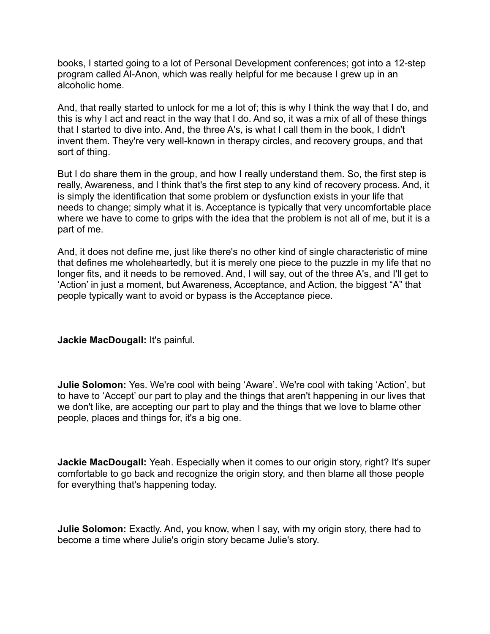books, I started going to a lot of Personal Development conferences; got into a 12-step program called Al-Anon, which was really helpful for me because I grew up in an alcoholic home.

And, that really started to unlock for me a lot of; this is why I think the way that I do, and this is why I act and react in the way that I do. And so, it was a mix of all of these things that I started to dive into. And, the three A's, is what I call them in the book, I didn't invent them. They're very well-known in therapy circles, and recovery groups, and that sort of thing.

But I do share them in the group, and how I really understand them. So, the first step is really, Awareness, and I think that's the first step to any kind of recovery process. And, it is simply the identification that some problem or dysfunction exists in your life that needs to change; simply what it is. Acceptance is typically that very uncomfortable place where we have to come to grips with the idea that the problem is not all of me, but it is a part of me.

And, it does not define me, just like there's no other kind of single characteristic of mine that defines me wholeheartedly, but it is merely one piece to the puzzle in my life that no longer fits, and it needs to be removed. And, I will say, out of the three A's, and I'll get to 'Action' in just a moment, but Awareness, Acceptance, and Action, the biggest "A" that people typically want to avoid or bypass is the Acceptance piece.

**Jackie MacDougall:** It's painful.

**Julie Solomon:** Yes. We're cool with being 'Aware'. We're cool with taking 'Action', but to have to 'Accept' our part to play and the things that aren't happening in our lives that we don't like, are accepting our part to play and the things that we love to blame other people, places and things for, it's a big one.

**Jackie MacDougall:** Yeah. Especially when it comes to our origin story, right? It's super comfortable to go back and recognize the origin story, and then blame all those people for everything that's happening today.

**Julie Solomon:** Exactly. And, you know, when I say, with my origin story, there had to become a time where Julie's origin story became Julie's story.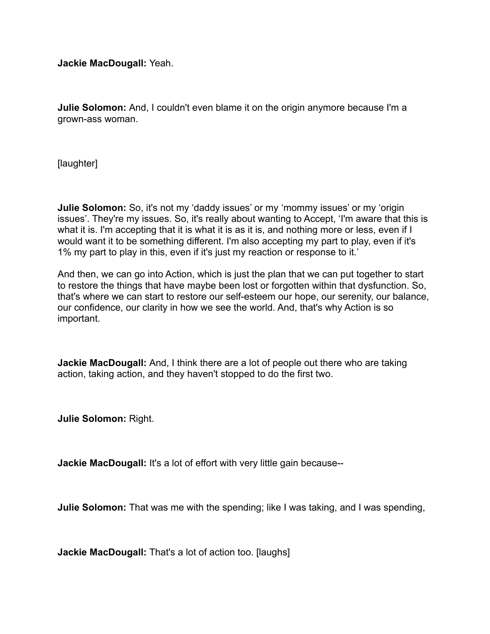**Jackie MacDougall:** Yeah.

**Julie Solomon:** And, I couldn't even blame it on the origin anymore because I'm a grown-ass woman.

[laughter]

**Julie Solomon:** So, it's not my 'daddy issues' or my 'mommy issues' or my 'origin issues'. They're my issues. So, it's really about wanting to Accept, 'I'm aware that this is what it is. I'm accepting that it is what it is as it is, and nothing more or less, even if I would want it to be something different. I'm also accepting my part to play, even if it's 1% my part to play in this, even if it's just my reaction or response to it.'

And then, we can go into Action, which is just the plan that we can put together to start to restore the things that have maybe been lost or forgotten within that dysfunction. So, that's where we can start to restore our self-esteem our hope, our serenity, our balance, our confidence, our clarity in how we see the world. And, that's why Action is so important.

**Jackie MacDougall:** And, I think there are a lot of people out there who are taking action, taking action, and they haven't stopped to do the first two.

**Julie Solomon:** Right.

**Jackie MacDougall:** It's a lot of effort with very little gain because--

**Julie Solomon:** That was me with the spending; like I was taking, and I was spending,

**Jackie MacDougall:** That's a lot of action too. [laughs]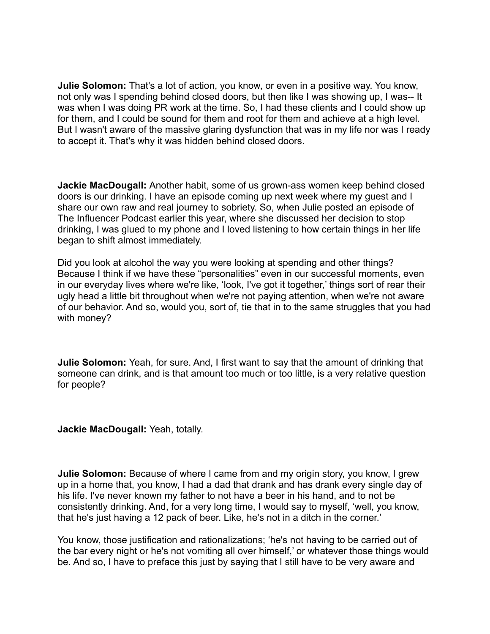**Julie Solomon:** That's a lot of action, you know, or even in a positive way. You know, not only was I spending behind closed doors, but then like I was showing up, I was-- It was when I was doing PR work at the time. So, I had these clients and I could show up for them, and I could be sound for them and root for them and achieve at a high level. But I wasn't aware of the massive glaring dysfunction that was in my life nor was I ready to accept it. That's why it was hidden behind closed doors.

**Jackie MacDougall:** Another habit, some of us grown-ass women keep behind closed doors is our drinking. I have an episode coming up next week where my guest and I share our own raw and real journey to sobriety. So, when Julie posted an episode of The Influencer Podcast earlier this year, where she discussed her decision to stop drinking, I was glued to my phone and I loved listening to how certain things in her life began to shift almost immediately.

Did you look at alcohol the way you were looking at spending and other things? Because I think if we have these "personalities" even in our successful moments, even in our everyday lives where we're like, 'look, I've got it together,' things sort of rear their ugly head a little bit throughout when we're not paying attention, when we're not aware of our behavior. And so, would you, sort of, tie that in to the same struggles that you had with money?

**Julie Solomon:** Yeah, for sure. And, I first want to say that the amount of drinking that someone can drink, and is that amount too much or too little, is a very relative question for people?

### **Jackie MacDougall:** Yeah, totally.

**Julie Solomon:** Because of where I came from and my origin story, you know, I grew up in a home that, you know, I had a dad that drank and has drank every single day of his life. I've never known my father to not have a beer in his hand, and to not be consistently drinking. And, for a very long time, I would say to myself, 'well, you know, that he's just having a 12 pack of beer. Like, he's not in a ditch in the corner.'

You know, those justification and rationalizations; 'he's not having to be carried out of the bar every night or he's not vomiting all over himself,' or whatever those things would be. And so, I have to preface this just by saying that I still have to be very aware and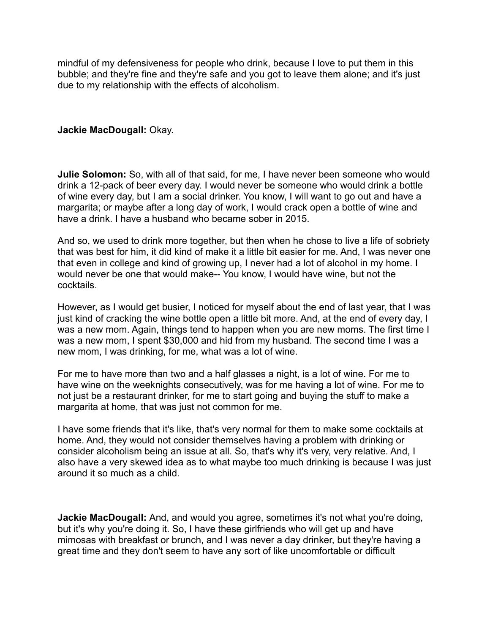mindful of my defensiveness for people who drink, because I love to put them in this bubble; and they're fine and they're safe and you got to leave them alone; and it's just due to my relationship with the effects of alcoholism.

## **Jackie MacDougall:** Okay.

**Julie Solomon:** So, with all of that said, for me, I have never been someone who would drink a 12-pack of beer every day. I would never be someone who would drink a bottle of wine every day, but I am a social drinker. You know, I will want to go out and have a margarita; or maybe after a long day of work, I would crack open a bottle of wine and have a drink. I have a husband who became sober in 2015.

And so, we used to drink more together, but then when he chose to live a life of sobriety that was best for him, it did kind of make it a little bit easier for me. And, I was never one that even in college and kind of growing up, I never had a lot of alcohol in my home. I would never be one that would make-- You know, I would have wine, but not the cocktails.

However, as I would get busier, I noticed for myself about the end of last year, that I was just kind of cracking the wine bottle open a little bit more. And, at the end of every day, I was a new mom. Again, things tend to happen when you are new moms. The first time I was a new mom, I spent \$30,000 and hid from my husband. The second time I was a new mom, I was drinking, for me, what was a lot of wine.

For me to have more than two and a half glasses a night, is a lot of wine. For me to have wine on the weeknights consecutively, was for me having a lot of wine. For me to not just be a restaurant drinker, for me to start going and buying the stuff to make a margarita at home, that was just not common for me.

I have some friends that it's like, that's very normal for them to make some cocktails at home. And, they would not consider themselves having a problem with drinking or consider alcoholism being an issue at all. So, that's why it's very, very relative. And, I also have a very skewed idea as to what maybe too much drinking is because I was just around it so much as a child.

**Jackie MacDougall:** And, and would you agree, sometimes it's not what you're doing, but it's why you're doing it. So, I have these girlfriends who will get up and have mimosas with breakfast or brunch, and I was never a day drinker, but they're having a great time and they don't seem to have any sort of like uncomfortable or difficult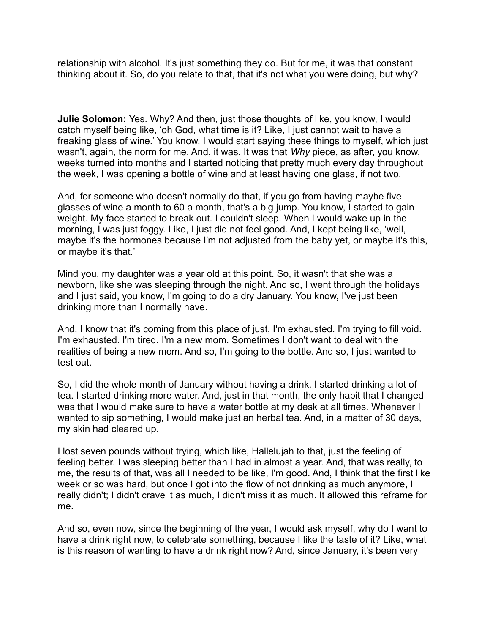relationship with alcohol. It's just something they do. But for me, it was that constant thinking about it. So, do you relate to that, that it's not what you were doing, but why?

**Julie Solomon:** Yes. Why? And then, just those thoughts of like, you know, I would catch myself being like, 'oh God, what time is it? Like, I just cannot wait to have a freaking glass of wine.' You know, I would start saying these things to myself, which just wasn't, again, the norm for me. And, it was. It was that *Why* piece, as after, you know, weeks turned into months and I started noticing that pretty much every day throughout the week, I was opening a bottle of wine and at least having one glass, if not two.

And, for someone who doesn't normally do that, if you go from having maybe five glasses of wine a month to 60 a month, that's a big jump. You know, I started to gain weight. My face started to break out. I couldn't sleep. When I would wake up in the morning, I was just foggy. Like, I just did not feel good. And, I kept being like, 'well, maybe it's the hormones because I'm not adjusted from the baby yet, or maybe it's this, or maybe it's that.'

Mind you, my daughter was a year old at this point. So, it wasn't that she was a newborn, like she was sleeping through the night. And so, I went through the holidays and I just said, you know, I'm going to do a dry January. You know, I've just been drinking more than I normally have.

And, I know that it's coming from this place of just, I'm exhausted. I'm trying to fill void. I'm exhausted. I'm tired. I'm a new mom. Sometimes I don't want to deal with the realities of being a new mom. And so, I'm going to the bottle. And so, I just wanted to test out.

So, I did the whole month of January without having a drink. I started drinking a lot of tea. I started drinking more water. And, just in that month, the only habit that I changed was that I would make sure to have a water bottle at my desk at all times. Whenever I wanted to sip something, I would make just an herbal tea. And, in a matter of 30 days, my skin had cleared up.

I lost seven pounds without trying, which like, Hallelujah to that, just the feeling of feeling better. I was sleeping better than I had in almost a year. And, that was really, to me, the results of that, was all I needed to be like, I'm good. And, I think that the first like week or so was hard, but once I got into the flow of not drinking as much anymore, I really didn't; I didn't crave it as much, I didn't miss it as much. It allowed this reframe for me.

And so, even now, since the beginning of the year, I would ask myself, why do I want to have a drink right now, to celebrate something, because I like the taste of it? Like, what is this reason of wanting to have a drink right now? And, since January, it's been very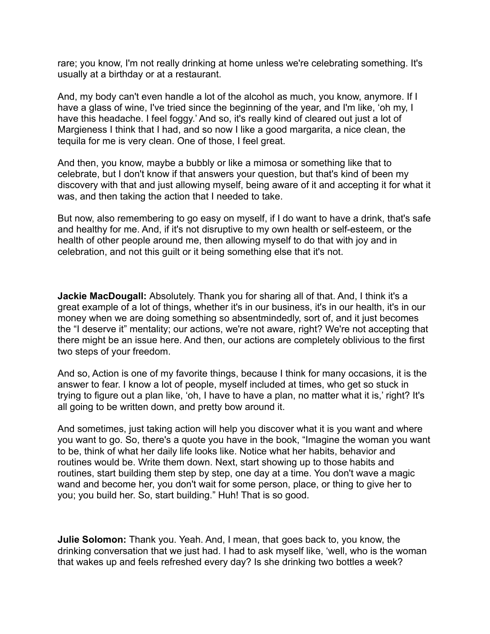rare; you know, I'm not really drinking at home unless we're celebrating something. It's usually at a birthday or at a restaurant.

And, my body can't even handle a lot of the alcohol as much, you know, anymore. If I have a glass of wine, I've tried since the beginning of the year, and I'm like, 'oh my, I have this headache. I feel foggy.' And so, it's really kind of cleared out just a lot of Margieness I think that I had, and so now I like a good margarita, a nice clean, the tequila for me is very clean. One of those, I feel great.

And then, you know, maybe a bubbly or like a mimosa or something like that to celebrate, but I don't know if that answers your question, but that's kind of been my discovery with that and just allowing myself, being aware of it and accepting it for what it was, and then taking the action that I needed to take.

But now, also remembering to go easy on myself, if I do want to have a drink, that's safe and healthy for me. And, if it's not disruptive to my own health or self-esteem, or the health of other people around me, then allowing myself to do that with joy and in celebration, and not this guilt or it being something else that it's not.

**Jackie MacDougall:** Absolutely. Thank you for sharing all of that. And, I think it's a great example of a lot of things, whether it's in our business, it's in our health, it's in our money when we are doing something so absentmindedly, sort of, and it just becomes the "I deserve it" mentality; our actions, we're not aware, right? We're not accepting that there might be an issue here. And then, our actions are completely oblivious to the first two steps of your freedom.

And so, Action is one of my favorite things, because I think for many occasions, it is the answer to fear. I know a lot of people, myself included at times, who get so stuck in trying to figure out a plan like, 'oh, I have to have a plan, no matter what it is,' right? It's all going to be written down, and pretty bow around it.

And sometimes, just taking action will help you discover what it is you want and where you want to go. So, there's a quote you have in the book, "Imagine the woman you want to be, think of what her daily life looks like. Notice what her habits, behavior and routines would be. Write them down. Next, start showing up to those habits and routines, start building them step by step, one day at a time. You don't wave a magic wand and become her, you don't wait for some person, place, or thing to give her to you; you build her. So, start building." Huh! That is so good.

**Julie Solomon:** Thank you. Yeah. And, I mean, that goes back to, you know, the drinking conversation that we just had. I had to ask myself like, 'well, who is the woman that wakes up and feels refreshed every day? Is she drinking two bottles a week?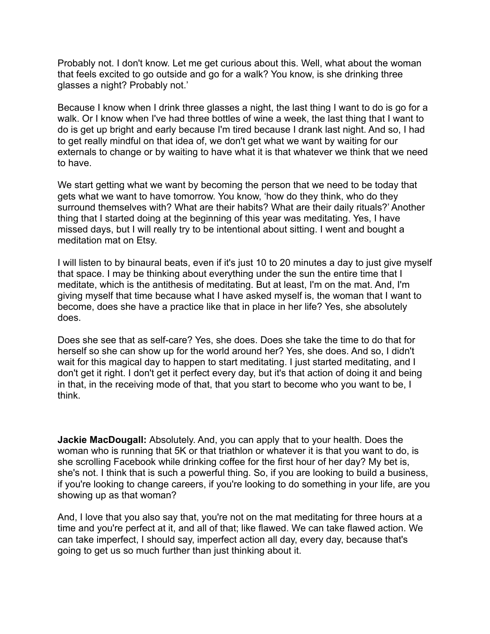Probably not. I don't know. Let me get curious about this. Well, what about the woman that feels excited to go outside and go for a walk? You know, is she drinking three glasses a night? Probably not.'

Because I know when I drink three glasses a night, the last thing I want to do is go for a walk. Or I know when I've had three bottles of wine a week, the last thing that I want to do is get up bright and early because I'm tired because I drank last night. And so, I had to get really mindful on that idea of, we don't get what we want by waiting for our externals to change or by waiting to have what it is that whatever we think that we need to have.

We start getting what we want by becoming the person that we need to be today that gets what we want to have tomorrow. You know, 'how do they think, who do they surround themselves with? What are their habits? What are their daily rituals?' Another thing that I started doing at the beginning of this year was meditating. Yes, I have missed days, but I will really try to be intentional about sitting. I went and bought a meditation mat on Etsy.

I will listen to by binaural beats, even if it's just 10 to 20 minutes a day to just give myself that space. I may be thinking about everything under the sun the entire time that I meditate, which is the antithesis of meditating. But at least, I'm on the mat. And, I'm giving myself that time because what I have asked myself is, the woman that I want to become, does she have a practice like that in place in her life? Yes, she absolutely does.

Does she see that as self-care? Yes, she does. Does she take the time to do that for herself so she can show up for the world around her? Yes, she does. And so, I didn't wait for this magical day to happen to start meditating. I just started meditating, and I don't get it right. I don't get it perfect every day, but it's that action of doing it and being in that, in the receiving mode of that, that you start to become who you want to be, I think.

**Jackie MacDougall:** Absolutely. And, you can apply that to your health. Does the woman who is running that 5K or that triathlon or whatever it is that you want to do, is she scrolling Facebook while drinking coffee for the first hour of her day? My bet is, she's not. I think that is such a powerful thing. So, if you are looking to build a business, if you're looking to change careers, if you're looking to do something in your life, are you showing up as that woman?

And, I love that you also say that, you're not on the mat meditating for three hours at a time and you're perfect at it, and all of that; like flawed. We can take flawed action. We can take imperfect, I should say, imperfect action all day, every day, because that's going to get us so much further than just thinking about it.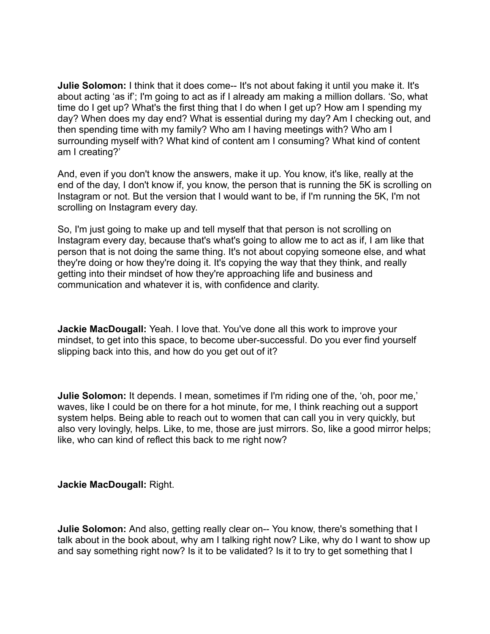**Julie Solomon:** I think that it does come-- It's not about faking it until you make it. It's about acting 'as if'; I'm going to act as if I already am making a million dollars. 'So, what time do I get up? What's the first thing that I do when I get up? How am I spending my day? When does my day end? What is essential during my day? Am I checking out, and then spending time with my family? Who am I having meetings with? Who am I surrounding myself with? What kind of content am I consuming? What kind of content am I creating?'

And, even if you don't know the answers, make it up. You know, it's like, really at the end of the day, I don't know if, you know, the person that is running the 5K is scrolling on Instagram or not. But the version that I would want to be, if I'm running the 5K, I'm not scrolling on Instagram every day.

So, I'm just going to make up and tell myself that that person is not scrolling on Instagram every day, because that's what's going to allow me to act as if, I am like that person that is not doing the same thing. It's not about copying someone else, and what they're doing or how they're doing it. It's copying the way that they think, and really getting into their mindset of how they're approaching life and business and communication and whatever it is, with confidence and clarity.

**Jackie MacDougall:** Yeah. I love that. You've done all this work to improve your mindset, to get into this space, to become uber-successful. Do you ever find yourself slipping back into this, and how do you get out of it?

**Julie Solomon:** It depends. I mean, sometimes if I'm riding one of the, 'oh, poor me,' waves, like I could be on there for a hot minute, for me, I think reaching out a support system helps. Being able to reach out to women that can call you in very quickly, but also very lovingly, helps. Like, to me, those are just mirrors. So, like a good mirror helps; like, who can kind of reflect this back to me right now?

### **Jackie MacDougall:** Right.

**Julie Solomon:** And also, getting really clear on-- You know, there's something that I talk about in the book about, why am I talking right now? Like, why do I want to show up and say something right now? Is it to be validated? Is it to try to get something that I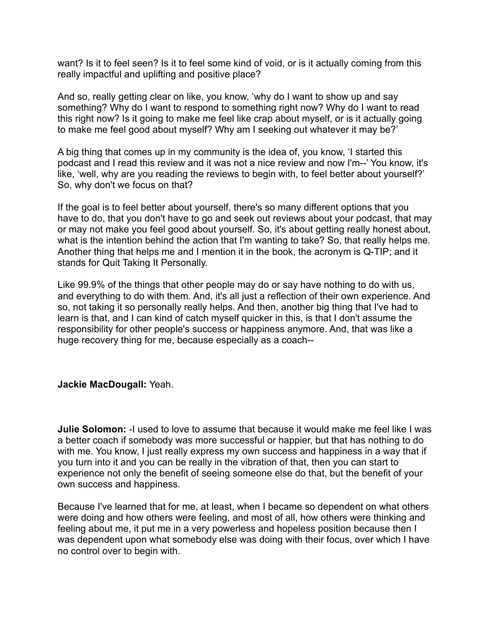want? Is it to feel seen? Is it to feel some kind of void, or is it actually coming from this really impactful and uplifting and positive place?

And so, really getting clear on like, you know, 'why do I want to show up and say something? Why do I want to respond to something right now? Why do I want to read this right now? Is it going to make me feel like crap about myself, or is it actually going to make me feel good about myself? Why am I seeking out whatever it may be?'

A big thing that comes up in my community is the idea of, you know, 'I started this podcast and I read this review and it was not a nice review and now I'm--' You know, it's like, 'well, why are you reading the reviews to begin with, to feel better about yourself?' So, why don't we focus on that?

If the goal is to feel better about yourself, there's so many different options that you have to do, that you don't have to go and seek out reviews about your podcast, that may or may not make you feel good about yourself. So, it's about getting really honest about, what is the intention behind the action that I'm wanting to take? So, that really helps me. Another thing that helps me and I mention it in the book, the acronym is Q-TIP; and it stands for Quit Taking It Personally.

Like 99.9% of the things that other people may do or say have nothing to do with us, and everything to do with them. And, it's all just a reflection of their own experience. And so, not taking it so personally really helps. And then, another big thing that I've had to learn is that, and I can kind of catch myself quicker in this, is that I don't assume the responsibility for other people's success or happiness anymore. And, that was like a huge recovery thing for me, because especially as a coach--

# **Jackie MacDougall:** Yeah.

**Julie Solomon:** -I used to love to assume that because it would make me feel like I was a better coach if somebody was more successful or happier, but that has nothing to do with me. You know, I just really express my own success and happiness in a way that if you turn into it and you can be really in the vibration of that, then you can start to experience not only the benefit of seeing someone else do that, but the benefit of your own success and happiness.

Because I've learned that for me, at least, when I became so dependent on what others were doing and how others were feeling, and most of all, how others were thinking and feeling about me, it put me in a very powerless and hopeless position because then I was dependent upon what somebody else was doing with their focus, over which I have no control over to begin with.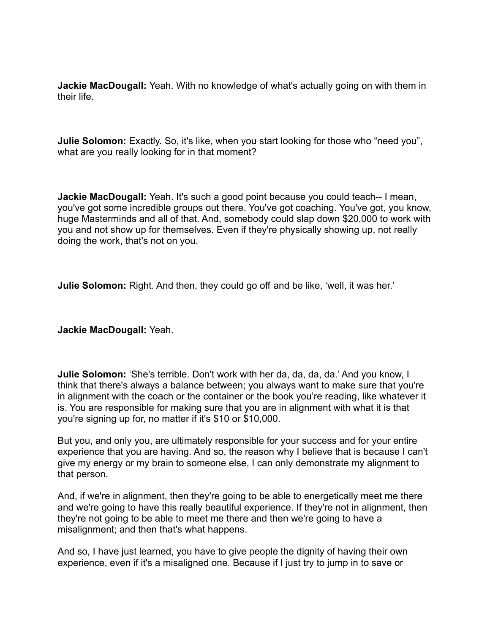**Jackie MacDougall:** Yeah. With no knowledge of what's actually going on with them in their life.

**Julie Solomon:** Exactly. So, it's like, when you start looking for those who "need you", what are you really looking for in that moment?

**Jackie MacDougall:** Yeah. It's such a good point because you could teach-- I mean, you've got some incredible groups out there. You've got coaching. You've got, you know, huge Masterminds and all of that. And, somebody could slap down \$20,000 to work with you and not show up for themselves. Even if they're physically showing up, not really doing the work, that's not on you.

**Julie Solomon:** Right. And then, they could go off and be like, 'well, it was her.'

**Jackie MacDougall:** Yeah.

**Julie Solomon:** 'She's terrible. Don't work with her da, da, da, da.' And you know, I think that there's always a balance between; you always want to make sure that you're in alignment with the coach or the container or the book you're reading, like whatever it is. You are responsible for making sure that you are in alignment with what it is that you're signing up for, no matter if it's \$10 or \$10,000.

But you, and only you, are ultimately responsible for your success and for your entire experience that you are having. And so, the reason why I believe that is because I can't give my energy or my brain to someone else, I can only demonstrate my alignment to that person.

And, if we're in alignment, then they're going to be able to energetically meet me there and we're going to have this really beautiful experience. If they're not in alignment, then they're not going to be able to meet me there and then we're going to have a misalignment; and then that's what happens.

And so, I have just learned, you have to give people the dignity of having their own experience, even if it's a misaligned one. Because if I just try to jump in to save or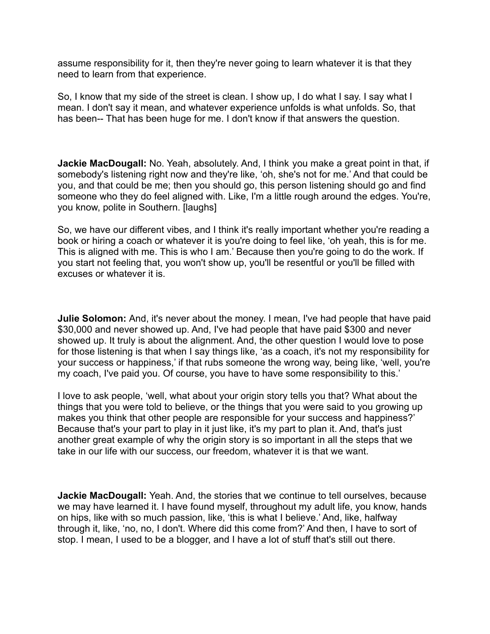assume responsibility for it, then they're never going to learn whatever it is that they need to learn from that experience.

So, I know that my side of the street is clean. I show up, I do what I say. I say what I mean. I don't say it mean, and whatever experience unfolds is what unfolds. So, that has been-- That has been huge for me. I don't know if that answers the question.

**Jackie MacDougall:** No. Yeah, absolutely. And, I think you make a great point in that, if somebody's listening right now and they're like, 'oh, she's not for me.' And that could be you, and that could be me; then you should go, this person listening should go and find someone who they do feel aligned with. Like, I'm a little rough around the edges. You're, you know, polite in Southern. [laughs]

So, we have our different vibes, and I think it's really important whether you're reading a book or hiring a coach or whatever it is you're doing to feel like, 'oh yeah, this is for me. This is aligned with me. This is who I am.' Because then you're going to do the work. If you start not feeling that, you won't show up, you'll be resentful or you'll be filled with excuses or whatever it is.

**Julie Solomon:** And, it's never about the money. I mean, I've had people that have paid \$30,000 and never showed up. And, I've had people that have paid \$300 and never showed up. It truly is about the alignment. And, the other question I would love to pose for those listening is that when I say things like, 'as a coach, it's not my responsibility for your success or happiness,' if that rubs someone the wrong way, being like, 'well, you're my coach, I've paid you. Of course, you have to have some responsibility to this.'

I love to ask people, 'well, what about your origin story tells you that? What about the things that you were told to believe, or the things that you were said to you growing up makes you think that other people are responsible for your success and happiness?' Because that's your part to play in it just like, it's my part to plan it. And, that's just another great example of why the origin story is so important in all the steps that we take in our life with our success, our freedom, whatever it is that we want.

**Jackie MacDougall:** Yeah. And, the stories that we continue to tell ourselves, because we may have learned it. I have found myself, throughout my adult life, you know, hands on hips, like with so much passion, like, 'this is what I believe.' And, like, halfway through it, like, 'no, no, I don't. Where did this come from?' And then, I have to sort of stop. I mean, I used to be a blogger, and I have a lot of stuff that's still out there.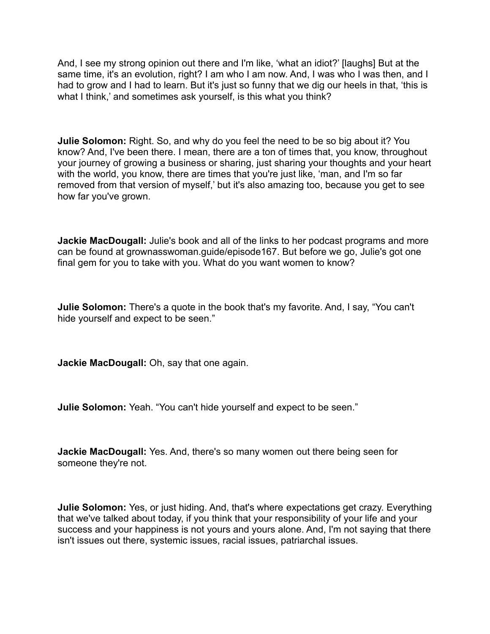And, I see my strong opinion out there and I'm like, 'what an idiot?' [laughs] But at the same time, it's an evolution, right? I am who I am now. And, I was who I was then, and I had to grow and I had to learn. But it's just so funny that we dig our heels in that, 'this is what I think,' and sometimes ask yourself, is this what you think?

**Julie Solomon:** Right. So, and why do you feel the need to be so big about it? You know? And, I've been there. I mean, there are a ton of times that, you know, throughout your journey of growing a business or sharing, just sharing your thoughts and your heart with the world, you know, there are times that you're just like, 'man, and I'm so far removed from that version of myself,' but it's also amazing too, because you get to see how far you've grown.

**Jackie MacDougall:** Julie's book and all of the links to her podcast programs and more can be found at grownasswoman.guide/episode167. But before we go, Julie's got one final gem for you to take with you. What do you want women to know?

**Julie Solomon:** There's a quote in the book that's my favorite. And, I say, "You can't hide yourself and expect to be seen."

**Jackie MacDougall:** Oh, say that one again.

**Julie Solomon:** Yeah. "You can't hide yourself and expect to be seen."

**Jackie MacDougall:** Yes. And, there's so many women out there being seen for someone they're not.

**Julie Solomon:** Yes, or just hiding. And, that's where expectations get crazy. Everything that we've talked about today, if you think that your responsibility of your life and your success and your happiness is not yours and yours alone. And, I'm not saying that there isn't issues out there, systemic issues, racial issues, patriarchal issues.